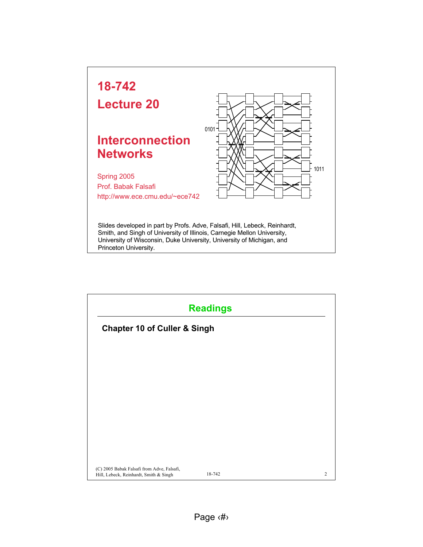

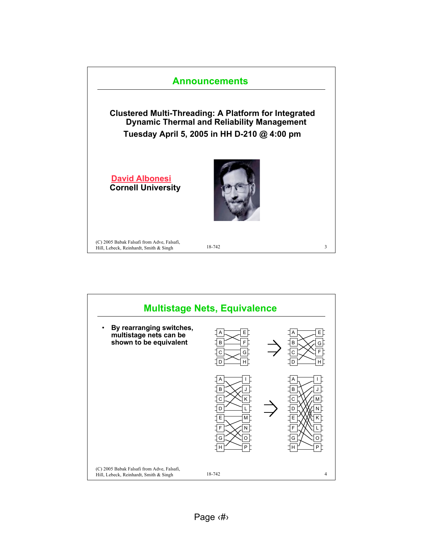

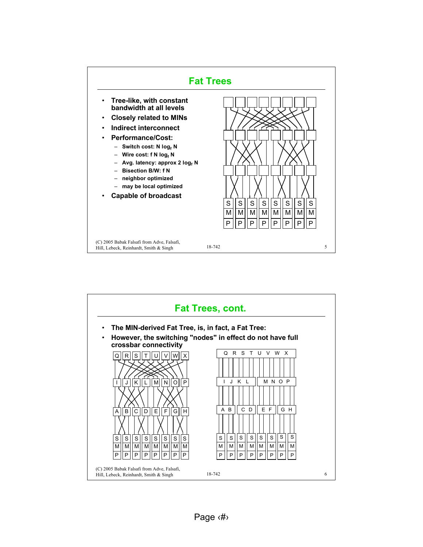

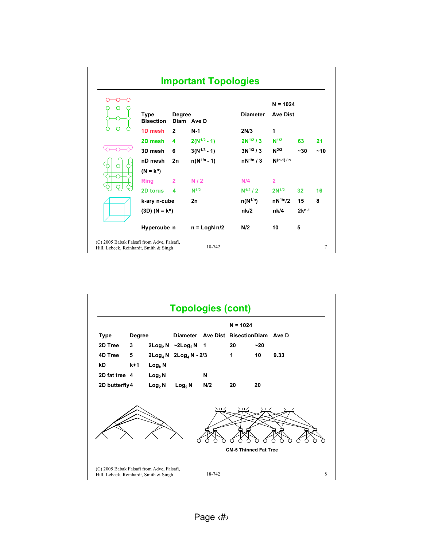|                                                                                                | <b>Important Topologies</b> |                                 |                             |                  |                 |                 |            |     |
|------------------------------------------------------------------------------------------------|-----------------------------|---------------------------------|-----------------------------|------------------|-----------------|-----------------|------------|-----|
|                                                                                                |                             |                                 |                             |                  | $N = 1024$      |                 |            |     |
|                                                                                                |                             | <b>Type</b><br><b>Bisection</b> | <b>Degree</b><br>Diam Ave D |                  | <b>Diameter</b> | <b>Ave Dist</b> |            |     |
|                                                                                                |                             | 1D mesh                         | $\mathbf{2}$                | $N-1$            | 2N/3            | 1               |            |     |
|                                                                                                |                             | 2D mesh                         | 4                           | $2(N^{1/2}-1)$   | $2N^{1/2}/3$    | $N^{1/2}$       | 63         | 21  |
|                                                                                                |                             | 3D mesh                         | 6                           | $3(N^{1/3} - 1)$ | $3N^{1/3}/3$    | $N^{2/3}$       | $~1$ - 30  | ~10 |
|                                                                                                |                             | nD mesh                         | 2n                          | $n(N^{1/n} - 1)$ | $nN^{1/n}/3$    | $N(n-1)/n$      |            |     |
|                                                                                                |                             | $(N = k^n)$                     |                             |                  |                 |                 |            |     |
|                                                                                                |                             | <b>Ring</b>                     | $\overline{2}$              | N/2              | N/4             | $\overline{2}$  |            |     |
|                                                                                                |                             | 2D torus                        | 4                           | $N^{1/2}$        | $N^{1/2}$ / 2   | $2N^{1/2}$      | 32         | 16  |
|                                                                                                |                             | k-ary n-cube                    |                             | 2n               | $n(N^{1/n})$    | $nN^{1/n}/2$    | 15         | 8   |
|                                                                                                |                             | $(3D) (N = k^n)$                |                             |                  | nk/2            | nk/4            | $2k^{n-1}$ |     |
|                                                                                                |                             | Hypercube n                     |                             | $n =$ LogN $n/2$ | N/2             | 10              | 5          |     |
| (C) 2005 Babak Falsafi from Adve, Falsafi,<br>18-742<br>Hill, Lebeck, Reinhardt, Smith & Singh |                             |                                 |                             |                  |                 |                 | 7          |     |

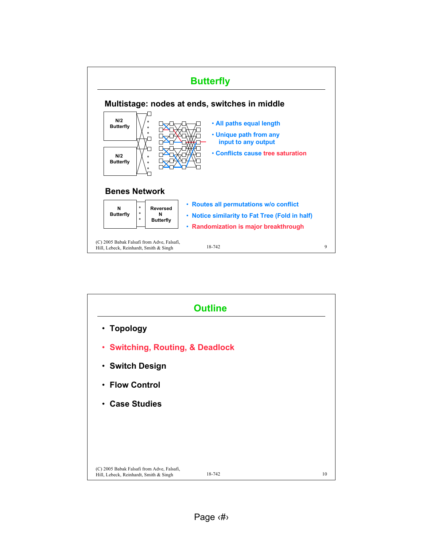

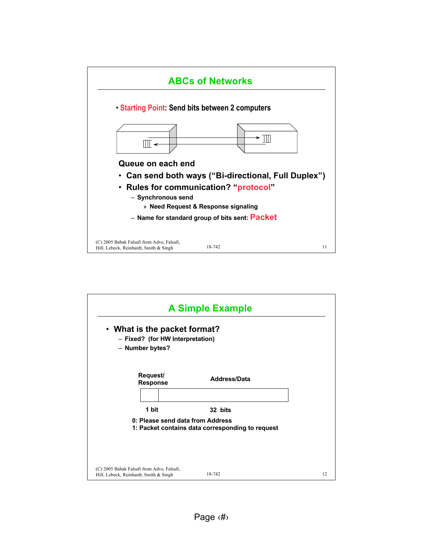

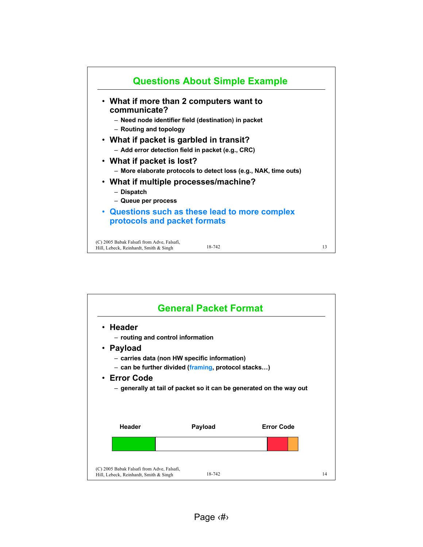

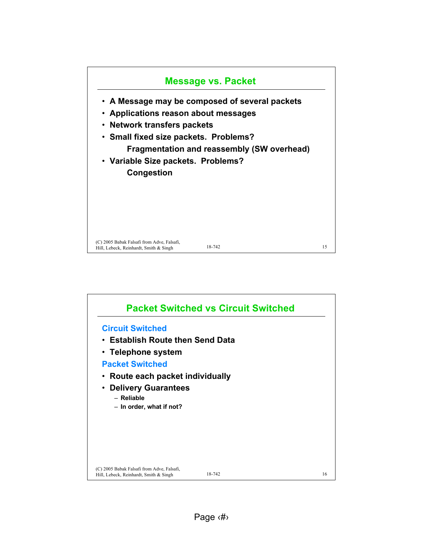

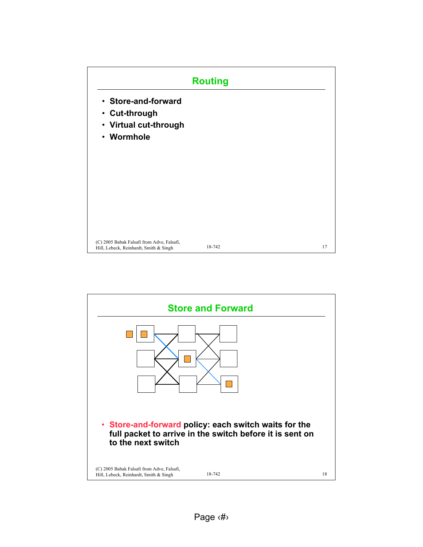

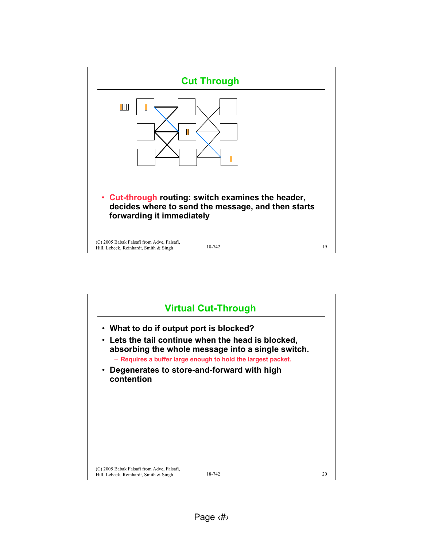

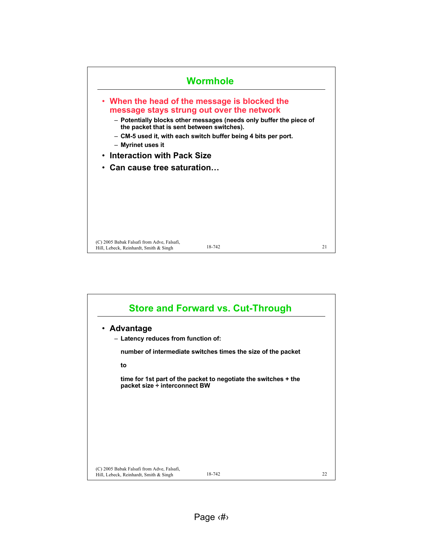

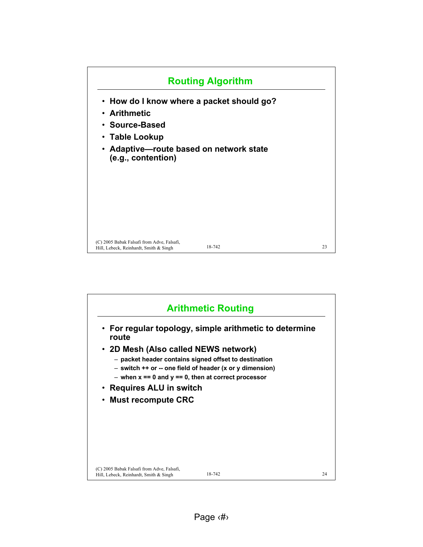

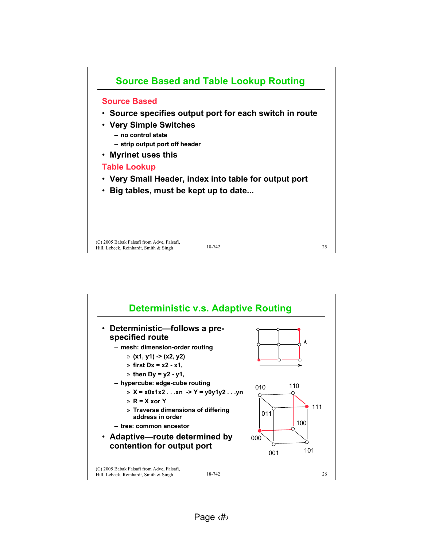

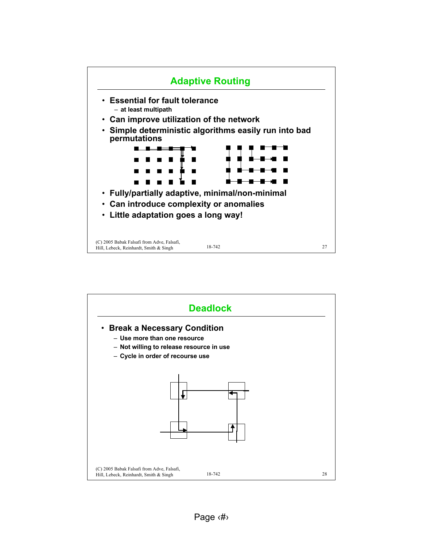

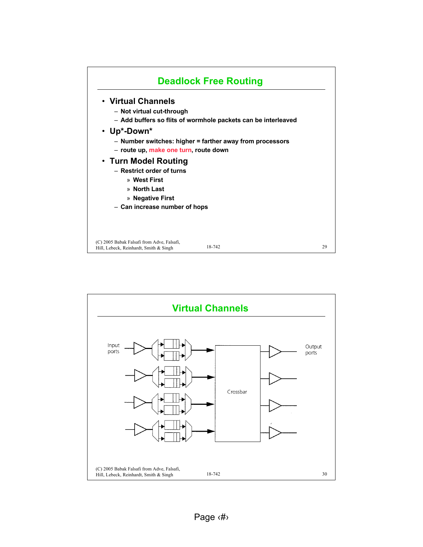

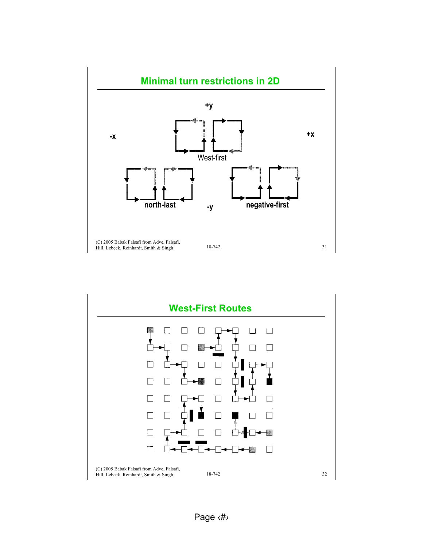

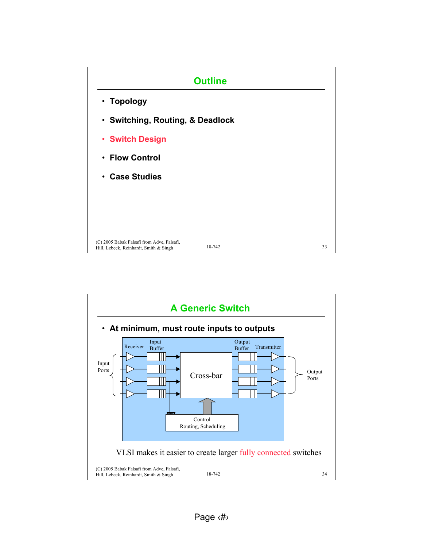

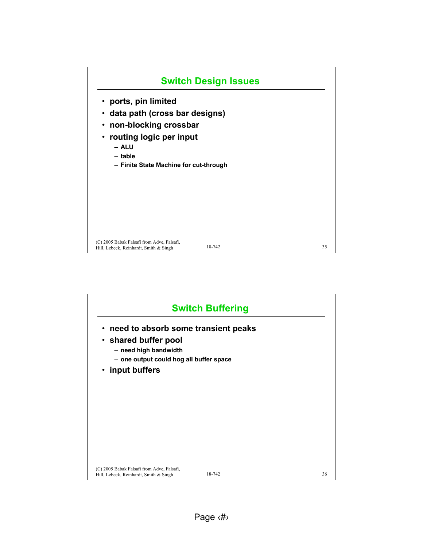

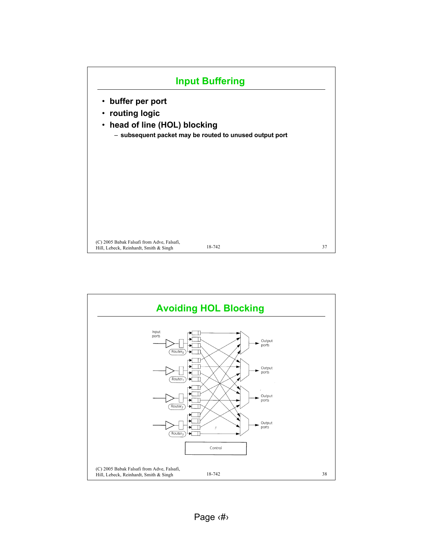